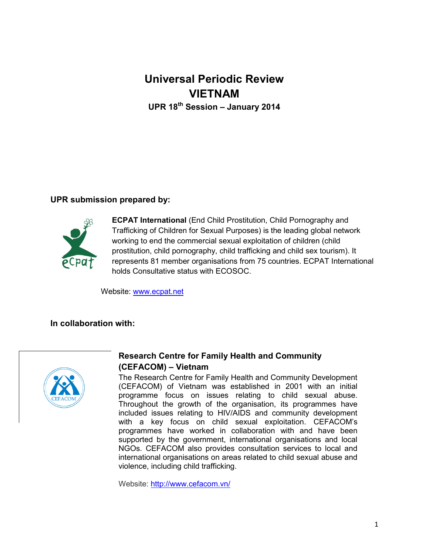# **Universal Periodic Review VIETNAM UPR 18th Session – January 2014**

## **UPR submission prepared by:**



**ECPAT International** (End Child Prostitution, Child Pornography and Trafficking of Children for Sexual Purposes) is the leading global network working to end the commercial sexual exploitation of children (child prostitution, child pornography, child trafficking and child sex tourism). It represents 81 member organisations from 75 countries. ECPAT International holds Consultative status with ECOSOC.

Website: [www.ecpat.net](http://www.ecpat.net/)

#### **In collaboration with:**



# **Research Centre for Family Health and Community (CEFACOM) – Vietnam**

The Research Centre for Family Health and Community Development (CEFACOM) of Vietnam was established in 2001 with an initial programme focus on issues relating to child sexual abuse. Throughout the growth of the organisation, its programmes have included issues relating to HIV/AIDS and community development with a key focus on child sexual exploitation. CEFACOM's programmes have worked in collaboration with and have been supported by the government, international organisations and local NGOs. CEFACOM also provides consultation services to local and international organisations on areas related to child sexual abuse and violence, including child trafficking.

Website:<http://www.cefacom.vn/>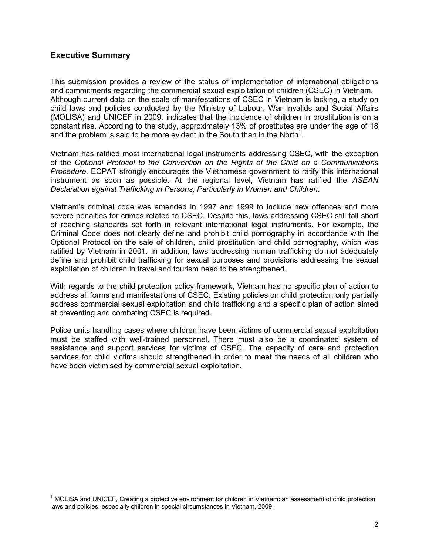### **Executive Summary**

l

This submission provides a review of the status of implementation of international obligations and commitments regarding the commercial sexual exploitation of children (CSEC) in Vietnam. Although current data on the scale of manifestations of CSEC in Vietnam is lacking, a study on child laws and policies conducted by the Ministry of Labour, War Invalids and Social Affairs (MOLISA) and UNICEF in 2009, indicates that the incidence of children in prostitution is on a constant rise. According to the study, approximately 13% of prostitutes are under the age of 18 and the problem is said to be more evident in the South than in the North<sup>1</sup>.

Vietnam has ratified most international legal instruments addressing CSEC, with the exception of the *Optional Protocol to the Convention on the Rights of the Child on a Communications Procedure*. ECPAT strongly encourages the Vietnamese government to ratify this international instrument as soon as possible. At the regional level, Vietnam has ratified the *ASEAN Declaration against Trafficking in Persons, Particularly in Women and Children*.

Vietnam's criminal code was amended in 1997 and 1999 to include new offences and more severe penalties for crimes related to CSEC. Despite this, laws addressing CSEC still fall short of reaching standards set forth in relevant international legal instruments. For example, the Criminal Code does not clearly define and prohibit child pornography in accordance with the Optional Protocol on the sale of children, child prostitution and child pornography, which was ratified by Vietnam in 2001. In addition, laws addressing human trafficking do not adequately define and prohibit child trafficking for sexual purposes and provisions addressing the sexual exploitation of children in travel and tourism need to be strengthened.

With regards to the child protection policy framework, Vietnam has no specific plan of action to address all forms and manifestations of CSEC. Existing policies on child protection only partially address commercial sexual exploitation and child trafficking and a specific plan of action aimed at preventing and combating CSEC is required.

Police units handling cases where children have been victims of commercial sexual exploitation must be staffed with well-trained personnel. There must also be a coordinated system of assistance and support services for victims of CSEC. The capacity of care and protection services for child victims should strengthened in order to meet the needs of all children who have been victimised by commercial sexual exploitation.

 $1$  MOLISA and UNICEF, Creating a protective environment for children in Vietnam: an assessment of child protection laws and policies, especially children in special circumstances in Vietnam, 2009.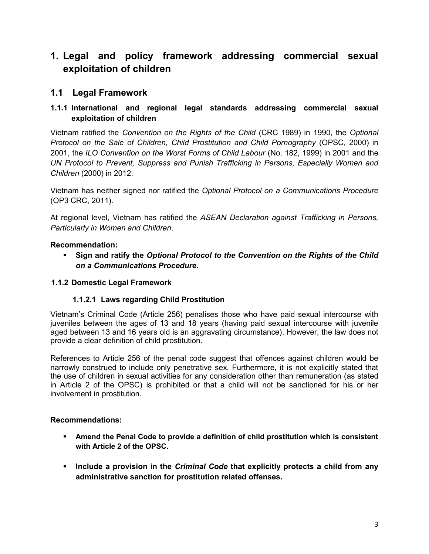# **1. Legal and policy framework addressing commercial sexual exploitation of children**

# **1.1 Legal Framework**

# **1.1.1 International and regional legal standards addressing commercial sexual exploitation of children**

Vietnam ratified the *Convention on the Rights of the Child* (CRC 1989) in 1990, the *Optional Protocol on the Sale of Children, Child Prostitution and Child Pornography* (OPSC, 2000) in 2001, the *ILO Convention on the Worst Forms of Child Labour* (No. 182, 1999) in 2001 and the *UN Protocol to Prevent, Suppress and Punish Trafficking in Persons, Especially Women and Children* (2000) in 2012.

Vietnam has neither signed nor ratified the *Optional Protocol on a Communications Procedure*  (OP3 CRC, 2011).

At regional level, Vietnam has ratified the *ASEAN Declaration against Trafficking in Persons, Particularly in Women and Children*.

## **Recommendation:**

 **Sign and ratify the** *Optional Protocol to the Convention on the Rights of the Child on a Communications Procedure***.**

## **1.1.2 Domestic Legal Framework**

## **1.1.2.1 Laws regarding Child Prostitution**

Vietnam's Criminal Code (Article 256) penalises those who have paid sexual intercourse with juveniles between the ages of 13 and 18 years (having paid sexual intercourse with juvenile aged between 13 and 16 years old is an aggravating circumstance). However, the law does not provide a clear definition of child prostitution.

References to Article 256 of the penal code suggest that offences against children would be narrowly construed to include only penetrative sex. Furthermore, it is not explicitly stated that the use of children in sexual activities for any consideration other than remuneration (as stated in Article 2 of the OPSC) is prohibited or that a child will not be sanctioned for his or her involvement in prostitution.

## **Recommendations:**

- **Amend the Penal Code to provide a definition of child prostitution which is consistent with Article 2 of the OPSC.**
- **Include a provision in the** *Criminal Code* **that explicitly protects a child from any administrative sanction for prostitution related offenses.**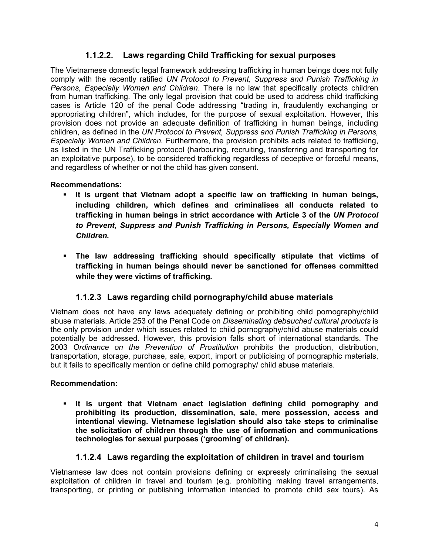# **1.1.2.2. Laws regarding Child Trafficking for sexual purposes**

The Vietnamese domestic legal framework addressing trafficking in human beings does not fully comply with the recently ratified *UN Protocol to Prevent, Suppress and Punish Trafficking in Persons, Especially Women and Children*. There is no law that specifically protects children from human trafficking. The only legal provision that could be used to address child trafficking cases is Article 120 of the penal Code addressing "trading in, fraudulently exchanging or appropriating children", which includes, for the purpose of sexual exploitation. However, this provision does not provide an adequate definition of trafficking in human beings, including children, as defined in the *UN Protocol to Prevent, Suppress and Punish Trafficking in Persons, Especially Women and Children.* Furthermore, the provision prohibits acts related to trafficking, as listed in the UN Trafficking protocol (harbouring, recruiting, transferring and transporting for an exploitative purpose), to be considered trafficking regardless of deceptive or forceful means, and regardless of whether or not the child has given consent.

# **Recommendations:**

- **It is urgent that Vietnam adopt a specific law on trafficking in human beings, including children, which defines and criminalises all conducts related to trafficking in human beings in strict accordance with Article 3 of the** *UN Protocol to Prevent, Suppress and Punish Trafficking in Persons, Especially Women and Children.*
- **The law addressing trafficking should specifically stipulate that victims of trafficking in human beings should never be sanctioned for offenses committed while they were victims of trafficking.**

# **1.1.2.3 Laws regarding child pornography/child abuse materials**

Vietnam does not have any laws adequately defining or prohibiting child pornography/child abuse materials. Article 253 of the Penal Code on *Disseminating debauched cultural products* is the only provision under which issues related to child pornography/child abuse materials could potentially be addressed. However, this provision falls short of international standards. The 2003 *Ordinance on the Prevention of Prostitution* prohibits the production, distribution, transportation, storage, purchase, sale, export, import or publicising of pornographic materials, but it fails to specifically mention or define child pornography/ child abuse materials.

## **Recommendation:**

 **It is urgent that Vietnam enact legislation defining child pornography and prohibiting its production, dissemination, sale, mere possession, access and intentional viewing. Vietnamese legislation should also take steps to criminalise the solicitation of children through the use of information and communications technologies for sexual purposes ('grooming' of children).**

# **1.1.2.4 Laws regarding the exploitation of children in travel and tourism**

Vietnamese law does not contain provisions defining or expressly criminalising the sexual exploitation of children in travel and tourism (e.g. prohibiting making travel arrangements, transporting, or printing or publishing information intended to promote child sex tours). As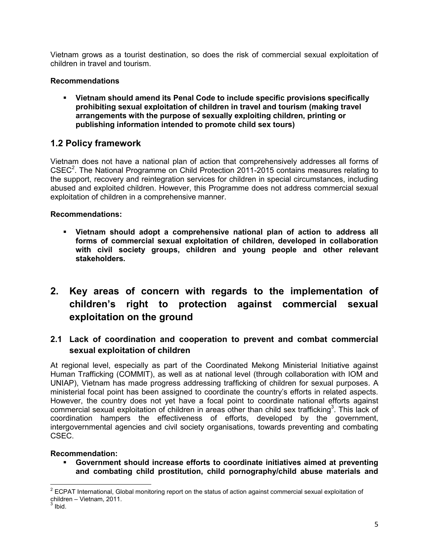Vietnam grows as a tourist destination, so does the risk of commercial sexual exploitation of children in travel and tourism.

## **Recommendations**

 **Vietnam should amend its Penal Code to include specific provisions specifically prohibiting sexual exploitation of children in travel and tourism (making travel arrangements with the purpose of sexually exploiting children, printing or publishing information intended to promote child sex tours)**

# **1.2 Policy framework**

Vietnam does not have a national plan of action that comprehensively addresses all forms of CSEC<sup>2</sup>. The National Programme on Child Protection 2011-2015 contains measures relating to the support, recovery and reintegration services for children in special circumstances, including abused and exploited children. However, this Programme does not address commercial sexual exploitation of children in a comprehensive manner.

### **Recommendations:**

- **Vietnam should adopt a comprehensive national plan of action to address all forms of commercial sexual exploitation of children, developed in collaboration with civil society groups, children and young people and other relevant stakeholders.**
- **2. Key areas of concern with regards to the implementation of children's right to protection against commercial sexual exploitation on the ground**

# **2.1 Lack of coordination and cooperation to prevent and combat commercial sexual exploitation of children**

At regional level, especially as part of the Coordinated Mekong Ministerial Initiative against Human Trafficking (COMMIT), as well as at national level (through collaboration with IOM and UNIAP), Vietnam has made progress addressing trafficking of children for sexual purposes. A ministerial focal point has been assigned to coordinate the country's efforts in related aspects. However, the country does not yet have a focal point to coordinate national efforts against commercial sexual exploitation of children in areas other than child sex trafficking<sup>3</sup>. This lack of coordination hampers the effectiveness of efforts, developed by the government, intergovernmental agencies and civil society organisations, towards preventing and combating CSEC.

#### **Recommendation:**

 **Government should increase efforts to coordinate initiatives aimed at preventing and combating child prostitution, child pornography/child abuse materials and** 

 $\overline{\phantom{a}}$  $2$  ECPAT International, Global monitoring report on the status of action against commercial sexual exploitation of children – Vietnam, 2011.<br><sup>3</sup> Ibid.